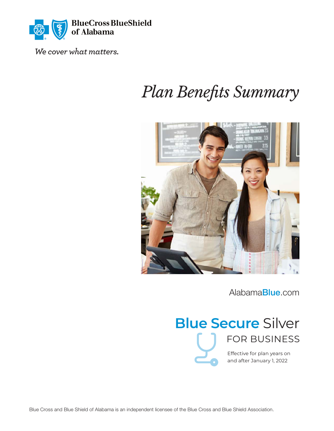

We cover what matters.

# *Plan Benefits Summary*



[Alabama](https://AlabamaBlue.com)Blue.com

# **Blue Secure** Silver FOR BUSINESS

Effective for plan years on and after January 1, 2022

Blue Cross and Blue Shield of Alabama is an independent licensee of the Blue Cross and Blue Shield Association.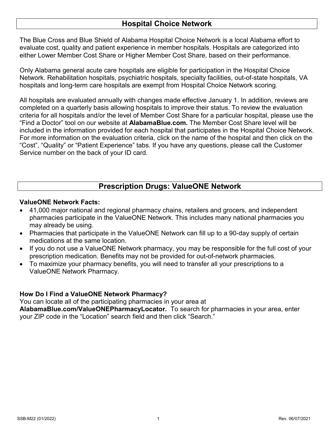## **Hospital Choice Network**

The Blue Cross and Blue Shield of Alabama Hospital Choice Network is a local Alabama effort to evaluate cost, quality and patient experience in member hospitals. Hospitals are categorized into either Lower Member Cost Share or Higher Member Cost Share, based on their performance.

Only Alabama general acute care hospitals are eligible for participation in the Hospital Choice Network. Rehabilitation hospitals, psychiatric hospitals, specialty facilities, out-of-state hospitals, VA hospitals and long-term care hospitals are exempt from Hospital Choice Network scoring.

All hospitals are evaluated annually with changes made effective January 1. In addition, reviews are completed on a quarterly basis allowing hospitals to improve their status. To review the evaluation criteria for all hospitals and/or the level of Member Cost Share for a particular hospital, please use the "Find a Doctor" tool on our website at **[AlabamaBlue.com](https://AlabamaBlue.com)***.* The Member Cost Share level will be included in the information provided for each hospital that participates in the Hospital Choice Network. For more information on the evaluation criteria, click on the name of the hospital and then click on the "Cost", "Quality" or "Patient Experience" tabs. If you have any questions, please call the Customer Service number on the back of your ID card.

# **Prescription Drugs: ValueONE Network**

### **ValueONE Network Facts:**

- 41,000 major national and regional pharmacy chains, retailers and grocers, and independent pharmacies participate in the ValueONE Network. This includes many national pharmacies you may already be using.
- Pharmacies that participate in the ValueONE Network can fill up to a 90-day supply of certain medications at the same location.
- If you do not use a ValueONE Network pharmacy, you may be responsible for the full cost of your prescription medication. Benefits may not be provided for out-of-network pharmacies.
- To maximize your pharmacy benefits, you will need to transfer all your prescriptions to a ValueONE Network Pharmacy.

### **How Do I Find a ValueONE Network Pharmacy?**

You can locate all of the participating pharmacies in your area at

**[AlabamaBlue.com/ValueONEPharmacyLocator.](http://AlabamaBlue.com/ValueONEPharmacyLocator)** To search for pharmacies in your area, enter your ZIP code in the "Location" search field and then click "Search."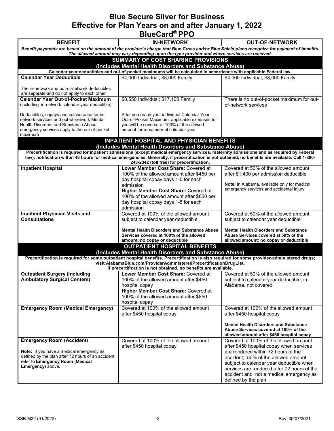## **Blue Secure Silver for Business Effective for Plan Years on and after January 1, 2022 BlueCard® PPO**

| <b>BENEFIT</b>                                                                                                                                                                                                                                 | <b>IN-NETWORK</b>                                                                                                                                                                                                                                                                               | <b>OUT-OF-NETWORK</b>                                                                    |  |  |
|------------------------------------------------------------------------------------------------------------------------------------------------------------------------------------------------------------------------------------------------|-------------------------------------------------------------------------------------------------------------------------------------------------------------------------------------------------------------------------------------------------------------------------------------------------|------------------------------------------------------------------------------------------|--|--|
| Benefit payments are based on the amount of the provider's charge that Blue Cross and/or Blue Shield plans recognize for payment of benefits.<br>The allowed amount may vary depending upon the type provider and where services are received. |                                                                                                                                                                                                                                                                                                 |                                                                                          |  |  |
| SUMMARY OF COST SHARING PROVISIONS                                                                                                                                                                                                             |                                                                                                                                                                                                                                                                                                 |                                                                                          |  |  |
| (Includes Mental Health Disorders and Substance Abuse)                                                                                                                                                                                         |                                                                                                                                                                                                                                                                                                 |                                                                                          |  |  |
|                                                                                                                                                                                                                                                | Calendar year deductibles and out-of-pocket maximums will be calculated in accordance with applicable Federal law.                                                                                                                                                                              |                                                                                          |  |  |
| <b>Calendar Year Deductible</b>                                                                                                                                                                                                                | \$4,000 Individual; \$8,000 Family                                                                                                                                                                                                                                                              | \$4,000 Individual; \$8,000 Family                                                       |  |  |
| The in-network and out-of-network deductibles                                                                                                                                                                                                  |                                                                                                                                                                                                                                                                                                 |                                                                                          |  |  |
| are separate and do not apply to each other                                                                                                                                                                                                    |                                                                                                                                                                                                                                                                                                 |                                                                                          |  |  |
| <b>Calendar Year Out-of-Pocket Maximum</b>                                                                                                                                                                                                     | \$8,550 Individual; \$17,100 Family                                                                                                                                                                                                                                                             | There is no out-of-pocket maximum for out-                                               |  |  |
| (including in-network calendar year deductible)                                                                                                                                                                                                |                                                                                                                                                                                                                                                                                                 | of-network services                                                                      |  |  |
|                                                                                                                                                                                                                                                |                                                                                                                                                                                                                                                                                                 |                                                                                          |  |  |
| Deductibles, copays and coinsurance for in-<br>network services and out-of-network Mental                                                                                                                                                      | After you reach your individual Calendar Year<br>Out-of-Pocket Maximum, applicable expenses for                                                                                                                                                                                                 |                                                                                          |  |  |
| Health Disorders and Substance Abuse                                                                                                                                                                                                           | you will be covered at 100% of the allowed                                                                                                                                                                                                                                                      |                                                                                          |  |  |
| emergency services apply to the out-of-pocket                                                                                                                                                                                                  | amount for remainder of calendar year                                                                                                                                                                                                                                                           |                                                                                          |  |  |
| maximum                                                                                                                                                                                                                                        |                                                                                                                                                                                                                                                                                                 |                                                                                          |  |  |
|                                                                                                                                                                                                                                                | <b>INPATIENT HOSPITAL AND PHYSICIAN BENEFITS</b>                                                                                                                                                                                                                                                |                                                                                          |  |  |
|                                                                                                                                                                                                                                                | (Includes Mental Health Disorders and Substance Abuse)                                                                                                                                                                                                                                          |                                                                                          |  |  |
|                                                                                                                                                                                                                                                | Precertification is required for inpatient admissions (except medical emergency services, maternity admissions and as required by Federal<br>law); notification within 48 hours for medical emergencies. Generally, if precertification is not obtained, no benefits are available. Call 1-800- |                                                                                          |  |  |
|                                                                                                                                                                                                                                                | 248-2342 (toll free) for precertification.                                                                                                                                                                                                                                                      |                                                                                          |  |  |
| <b>Inpatient Hospital</b>                                                                                                                                                                                                                      | Lower Member Cost Share: Covered at                                                                                                                                                                                                                                                             | Covered at 50% of the allowed amount                                                     |  |  |
|                                                                                                                                                                                                                                                | 100% of the allowed amount after \$450 per                                                                                                                                                                                                                                                      | after \$1,400 per admission deductible                                                   |  |  |
|                                                                                                                                                                                                                                                | day hospital copay days 1-5 for each                                                                                                                                                                                                                                                            |                                                                                          |  |  |
|                                                                                                                                                                                                                                                | admission                                                                                                                                                                                                                                                                                       | Note: In Alabama, available only for medical<br>emergency services and accidental injury |  |  |
|                                                                                                                                                                                                                                                | Higher Member Cost Share: Covered at                                                                                                                                                                                                                                                            |                                                                                          |  |  |
|                                                                                                                                                                                                                                                | 100% of the allowed amount after \$850 per<br>day hospital copay days 1-5 for each                                                                                                                                                                                                              |                                                                                          |  |  |
|                                                                                                                                                                                                                                                | admission                                                                                                                                                                                                                                                                                       |                                                                                          |  |  |
| <b>Inpatient Physician Visits and</b>                                                                                                                                                                                                          | Covered at 100% of the allowed amount                                                                                                                                                                                                                                                           | Covered at 50% of the allowed amount                                                     |  |  |
| <b>Consultations</b>                                                                                                                                                                                                                           | subject to calendar year deductible                                                                                                                                                                                                                                                             | subject to calendar year deductible                                                      |  |  |
|                                                                                                                                                                                                                                                |                                                                                                                                                                                                                                                                                                 |                                                                                          |  |  |
|                                                                                                                                                                                                                                                | <b>Mental Health Disorders and Substance Abuse</b>                                                                                                                                                                                                                                              | <b>Mental Health Disorders and Substance</b>                                             |  |  |
|                                                                                                                                                                                                                                                | Services covered at 100% of the allowed<br>amount; no copay or deductible                                                                                                                                                                                                                       | Abuse Services covered at 50% of the<br>allowed amount; no copay or deductible           |  |  |
|                                                                                                                                                                                                                                                | <b>OUTPATIENT HOSPITAL BENEFITS</b>                                                                                                                                                                                                                                                             |                                                                                          |  |  |
|                                                                                                                                                                                                                                                | (Includes Mental Health Disorders and Substance Abuse)                                                                                                                                                                                                                                          |                                                                                          |  |  |
|                                                                                                                                                                                                                                                | Precertification is required for some outpatient hospital benefits. Precertification is also required for some provider-administered drugs;                                                                                                                                                     |                                                                                          |  |  |
|                                                                                                                                                                                                                                                | visit AlabamaBlue.com/ProviderAdministeredPrecertificationDrugList.                                                                                                                                                                                                                             |                                                                                          |  |  |
|                                                                                                                                                                                                                                                | If precertification is not obtained, no benefits are available.                                                                                                                                                                                                                                 |                                                                                          |  |  |
| <b>Outpatient Surgery (Including</b>                                                                                                                                                                                                           | Lower Member Cost Share: Covered at                                                                                                                                                                                                                                                             | Covered at 50% of the allowed amount                                                     |  |  |
| <b>Ambulatory Surgical Centers)</b>                                                                                                                                                                                                            | 100% of the allowed amount after \$450<br>hospital copay                                                                                                                                                                                                                                        | subject to calendar year deductible; in<br>Alabama, not covered                          |  |  |
|                                                                                                                                                                                                                                                | Higher Member Cost Share: Covered at                                                                                                                                                                                                                                                            |                                                                                          |  |  |
|                                                                                                                                                                                                                                                | 100% of the allowed amount after \$850                                                                                                                                                                                                                                                          |                                                                                          |  |  |
|                                                                                                                                                                                                                                                | hospital copay                                                                                                                                                                                                                                                                                  |                                                                                          |  |  |
| <b>Emergency Room (Medical Emergency)</b>                                                                                                                                                                                                      | Covered at 100% of the allowed amount                                                                                                                                                                                                                                                           | Covered at 100% of the allowed amount                                                    |  |  |
|                                                                                                                                                                                                                                                | after \$450 hospital copay                                                                                                                                                                                                                                                                      | after \$450 hospital copay                                                               |  |  |
|                                                                                                                                                                                                                                                |                                                                                                                                                                                                                                                                                                 |                                                                                          |  |  |
|                                                                                                                                                                                                                                                |                                                                                                                                                                                                                                                                                                 | <b>Mental Health Disorders and Substance</b><br>Abuse Services covered at 100% of the    |  |  |
|                                                                                                                                                                                                                                                |                                                                                                                                                                                                                                                                                                 | allowed amount after \$450 hospital copay                                                |  |  |
| <b>Emergency Room (Accident)</b>                                                                                                                                                                                                               | Covered at 100% of the allowed amount                                                                                                                                                                                                                                                           | Covered at 100% of the allowed amount                                                    |  |  |
|                                                                                                                                                                                                                                                | after \$450 hospital copay                                                                                                                                                                                                                                                                      | after \$450 hospital copay when services                                                 |  |  |
| Note: If you have a medical emergency as                                                                                                                                                                                                       |                                                                                                                                                                                                                                                                                                 | are rendered within 72 hours of the                                                      |  |  |
| defined by the plan after 72 hours of an accident,<br>refer to Emergency Room (Medical                                                                                                                                                         |                                                                                                                                                                                                                                                                                                 | accident; 50% of the allowed amount                                                      |  |  |
| Emergency) above.                                                                                                                                                                                                                              |                                                                                                                                                                                                                                                                                                 | subject to calendar year deductible when                                                 |  |  |
|                                                                                                                                                                                                                                                |                                                                                                                                                                                                                                                                                                 | services are rendered after 72 hours of the<br>accident and not a medical emergency as   |  |  |
|                                                                                                                                                                                                                                                |                                                                                                                                                                                                                                                                                                 | defined by the plan                                                                      |  |  |
|                                                                                                                                                                                                                                                |                                                                                                                                                                                                                                                                                                 |                                                                                          |  |  |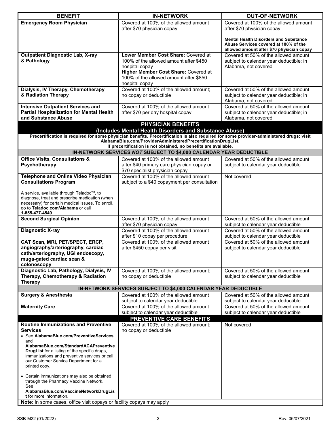| <b>BENEFIT</b>                                                                                                                                                                                                                                                              | <b>IN-NETWORK</b>                                                   | <b>OUT-OF-NETWORK</b>                                                                                                              |  |
|-----------------------------------------------------------------------------------------------------------------------------------------------------------------------------------------------------------------------------------------------------------------------------|---------------------------------------------------------------------|------------------------------------------------------------------------------------------------------------------------------------|--|
| <b>Emergency Room Physician</b>                                                                                                                                                                                                                                             | Covered at 100% of the allowed amount<br>after \$70 physician copay | Covered at 100% of the allowed amount<br>after \$70 physician copay                                                                |  |
|                                                                                                                                                                                                                                                                             |                                                                     | <b>Mental Health Disorders and Substance</b><br>Abuse Services covered at 100% of the<br>allowed amount after \$70 physician copay |  |
| <b>Outpatient Diagnostic Lab, X-ray</b>                                                                                                                                                                                                                                     | Lower Member Cost Share: Covered at                                 | Covered at 50% of the allowed amount                                                                                               |  |
| & Pathology                                                                                                                                                                                                                                                                 | 100% of the allowed amount after \$450                              | subject to calendar year deductible; in                                                                                            |  |
|                                                                                                                                                                                                                                                                             | hospital copay                                                      | Alabama, not covered                                                                                                               |  |
|                                                                                                                                                                                                                                                                             | Higher Member Cost Share: Covered at                                |                                                                                                                                    |  |
|                                                                                                                                                                                                                                                                             | 100% of the allowed amount after \$850                              |                                                                                                                                    |  |
|                                                                                                                                                                                                                                                                             | hospital copay                                                      |                                                                                                                                    |  |
| Dialysis, IV Therapy, Chemotherapy                                                                                                                                                                                                                                          | Covered at 100% of the allowed amount;                              | Covered at 50% of the allowed amount                                                                                               |  |
| & Radiation Therapy                                                                                                                                                                                                                                                         | no copay or deductible                                              | subject to calendar year deductible; in                                                                                            |  |
|                                                                                                                                                                                                                                                                             |                                                                     | Alabama, not covered                                                                                                               |  |
| <b>Intensive Outpatient Services and</b>                                                                                                                                                                                                                                    | Covered at 100% of the allowed amount                               | Covered at 50% of the allowed amount                                                                                               |  |
| <b>Partial Hospitalization for Mental Health</b>                                                                                                                                                                                                                            | after \$70 per day hospital copay                                   | subject to calendar year deductible; in                                                                                            |  |
| and Substance Abuse                                                                                                                                                                                                                                                         |                                                                     | Alabama, not covered                                                                                                               |  |
|                                                                                                                                                                                                                                                                             | <b>PHYSICIAN BENEFITS</b>                                           |                                                                                                                                    |  |
|                                                                                                                                                                                                                                                                             | (Includes Mental Health Disorders and Substance Abuse)              |                                                                                                                                    |  |
| Precertification is required for some physician benefits. Precertification is also required for some provider-administered drugs; visit<br>AlabamaBlue.com/ProviderAdministeredPrecertificationDrugList.<br>If precertification is not obtained, no benefits are available. |                                                                     |                                                                                                                                    |  |
|                                                                                                                                                                                                                                                                             | IN-NETWORK SERVICES NOT SUBJECT TO \$4,000 CALENDAR YEAR DEDUCTIBLE |                                                                                                                                    |  |
| <b>Office Visits, Consultations &amp;</b>                                                                                                                                                                                                                                   | Covered at 100% of the allowed amount                               | Covered at 50% of the allowed amount                                                                                               |  |
| Psychotherapy                                                                                                                                                                                                                                                               | after \$40 primary care physician copay or                          | subject to calendar year deductible                                                                                                |  |
|                                                                                                                                                                                                                                                                             | \$70 specialist physician copay                                     |                                                                                                                                    |  |
| <b>Telephone and Online Video Physician</b>                                                                                                                                                                                                                                 | Covered at 100% of the allowed amount                               | Not covered                                                                                                                        |  |
| <b>Consultations Program</b>                                                                                                                                                                                                                                                | subject to a \$40 copayment per consultation                        |                                                                                                                                    |  |
|                                                                                                                                                                                                                                                                             |                                                                     |                                                                                                                                    |  |
| A service, available through Teladoc™, to<br>diagnose, treat and prescribe medication (when                                                                                                                                                                                 |                                                                     |                                                                                                                                    |  |
| necessary) for certain medical issues. To enroll,                                                                                                                                                                                                                           |                                                                     |                                                                                                                                    |  |
| go to Teladoc.com/Alabama or call                                                                                                                                                                                                                                           |                                                                     |                                                                                                                                    |  |
| 1-855-477-4549.                                                                                                                                                                                                                                                             |                                                                     |                                                                                                                                    |  |
| <b>Second Surgical Opinion</b>                                                                                                                                                                                                                                              | Covered at 100% of the allowed amount<br>after \$70 physician copay | Covered at 50% of the allowed amount<br>subject to calendar year deductible                                                        |  |
| <b>Diagnostic X-ray</b>                                                                                                                                                                                                                                                     | Covered at 100% of the allowed amount                               | Covered at 50% of the allowed amount                                                                                               |  |
|                                                                                                                                                                                                                                                                             | after \$10 copay per procedure                                      | subject to calendar year deductible                                                                                                |  |
| CAT Scan, MRI, PET/SPECT, ERCP,                                                                                                                                                                                                                                             | Covered at 100% of the allowed amount                               | Covered at 50% of the allowed amount                                                                                               |  |
| angiography/arteriography, cardiac                                                                                                                                                                                                                                          | after \$450 copay per visit                                         | subject to calendar year deductible                                                                                                |  |
| cath/arteriography, UGI endoscopy,                                                                                                                                                                                                                                          |                                                                     |                                                                                                                                    |  |
| muga-gated cardiac scan &                                                                                                                                                                                                                                                   |                                                                     |                                                                                                                                    |  |
| colonoscopy<br>Diagnostic Lab, Pathology, Dialysis, IV                                                                                                                                                                                                                      | Covered at 100% of the allowed amount;                              | Covered at 50% of the allowed amount                                                                                               |  |
| Therapy, Chemotherapy & Radiation                                                                                                                                                                                                                                           | no copay or deductible                                              | subject to calendar year deductible                                                                                                |  |
| <b>Therapy</b>                                                                                                                                                                                                                                                              |                                                                     |                                                                                                                                    |  |
|                                                                                                                                                                                                                                                                             | IN-NETWORK SERVICES SUBJECT TO \$4,000 CALENDAR YEAR DEDUCTIBLE     |                                                                                                                                    |  |
| <b>Surgery &amp; Anesthesia</b>                                                                                                                                                                                                                                             | Covered at 100% of the allowed amount                               | Covered at 50% of the allowed amount                                                                                               |  |
|                                                                                                                                                                                                                                                                             | subject to calendar year deductible                                 | subject to calendar year deductible                                                                                                |  |
| <b>Maternity Care</b>                                                                                                                                                                                                                                                       | Covered at 100% of the allowed amount                               | Covered at 50% of the allowed amount                                                                                               |  |
|                                                                                                                                                                                                                                                                             | subject to calendar year deductible                                 | subject to calendar year deductible                                                                                                |  |
|                                                                                                                                                                                                                                                                             | PREVENTIVE CARE BENEFITS                                            |                                                                                                                                    |  |
| <b>Routine Immunizations and Preventive</b>                                                                                                                                                                                                                                 | Covered at 100% of the allowed amount:                              | Not covered                                                                                                                        |  |
| <b>Services</b>                                                                                                                                                                                                                                                             | no copay or deductible                                              |                                                                                                                                    |  |
| • See AlabamaBlue.com/PreventiveServices                                                                                                                                                                                                                                    |                                                                     |                                                                                                                                    |  |
| and<br>AlabamaBlue.com/StandardACAPreventive                                                                                                                                                                                                                                |                                                                     |                                                                                                                                    |  |
| <b>DrugList</b> for a listing of the specific drugs,                                                                                                                                                                                                                        |                                                                     |                                                                                                                                    |  |
| immunizations and preventive services or call                                                                                                                                                                                                                               |                                                                     |                                                                                                                                    |  |
| our Customer Service Department for a                                                                                                                                                                                                                                       |                                                                     |                                                                                                                                    |  |
| printed copy.                                                                                                                                                                                                                                                               |                                                                     |                                                                                                                                    |  |
| • Certain immunizations may also be obtained                                                                                                                                                                                                                                |                                                                     |                                                                                                                                    |  |
| through the Pharmacy Vaccine Network.                                                                                                                                                                                                                                       |                                                                     |                                                                                                                                    |  |
| See                                                                                                                                                                                                                                                                         |                                                                     |                                                                                                                                    |  |
| AlabamaBlue.com/VaccineNetworkDrugLis                                                                                                                                                                                                                                       |                                                                     |                                                                                                                                    |  |
| <b>t</b> for more information.                                                                                                                                                                                                                                              |                                                                     |                                                                                                                                    |  |
| Note: In some cases, office visit copays or facility copays may apply                                                                                                                                                                                                       |                                                                     |                                                                                                                                    |  |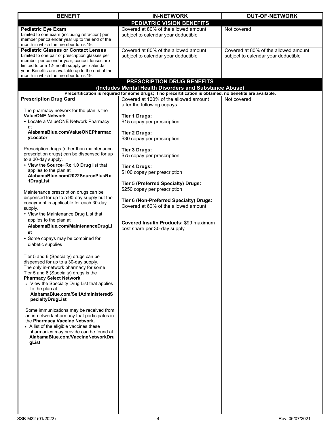| <b>BENEFIT</b>                                                                              | <b>IN-NETWORK</b>                                                                                           | <b>OUT-OF-NETWORK</b>                |
|---------------------------------------------------------------------------------------------|-------------------------------------------------------------------------------------------------------------|--------------------------------------|
|                                                                                             | PEDIATRIC VISION BENEFITS                                                                                   |                                      |
| <b>Pediatric Eye Exam</b>                                                                   | Covered at 80% of the allowed amount                                                                        | Not covered                          |
| Limited to one exam (including refraction) per                                              | subject to calendar year deductible                                                                         |                                      |
| member per calendar year up to the end of the                                               |                                                                                                             |                                      |
| month in which the member turns 19.                                                         |                                                                                                             |                                      |
| <b>Pediatric Glasses or Contact Lenses</b>                                                  | Covered at 80% of the allowed amount                                                                        | Covered at 80% of the allowed amount |
| Limited to one pair of prescription glasses per                                             | subject to calendar year deductible                                                                         | subject to calendar year deductible  |
| member per calendar year; contact lenses are<br>limited to one 12-month supply per calendar |                                                                                                             |                                      |
| year. Benefits are available up to the end of the                                           |                                                                                                             |                                      |
| month in which the member turns 19.                                                         |                                                                                                             |                                      |
|                                                                                             | PRESCRIPTION DRUG BENEFITS                                                                                  |                                      |
|                                                                                             | (Includes Mental Health Disorders and Substance Abuse)                                                      |                                      |
|                                                                                             | Precertification is required for some drugs; if no precertification is obtained, no benefits are available. |                                      |
| <b>Prescription Drug Card</b>                                                               | Covered at 100% of the allowed amount                                                                       | Not covered                          |
|                                                                                             | after the following copays:                                                                                 |                                      |
| The pharmacy network for the plan is the                                                    |                                                                                                             |                                      |
| <b>ValueONE Network.</b>                                                                    | <b>Tier 1 Drugs:</b>                                                                                        |                                      |
| • Locate a ValueONE Network Pharmacy                                                        | \$15 copay per prescription                                                                                 |                                      |
| at                                                                                          |                                                                                                             |                                      |
| AlabamaBlue.com/ValueONEPharmac                                                             | <b>Tier 2 Drugs:</b>                                                                                        |                                      |
| yLocator                                                                                    | \$30 copay per prescription                                                                                 |                                      |
|                                                                                             |                                                                                                             |                                      |
| Prescription drugs (other than maintenance                                                  | <b>Tier 3 Drugs:</b>                                                                                        |                                      |
| prescription drugs) can be dispensed for up                                                 | \$75 copay per prescription                                                                                 |                                      |
| to a 30-day supply.<br>• View the Source+Rx 1.0 Drug list that                              |                                                                                                             |                                      |
| applies to the plan at                                                                      | <b>Tier 4 Drugs:</b>                                                                                        |                                      |
| AlabamaBlue.com/2022SourcePlusRx                                                            | \$100 copay per prescription                                                                                |                                      |
| 1DrugList                                                                                   |                                                                                                             |                                      |
|                                                                                             | <b>Tier 5 (Preferred Specialty) Drugs:</b>                                                                  |                                      |
| Maintenance prescription drugs can be                                                       | \$250 copay per prescription                                                                                |                                      |
| dispensed for up to a 90-day supply but the                                                 |                                                                                                             |                                      |
| copayment is applicable for each 30-day                                                     | Tier 6 (Non-Preferred Specialty) Drugs:                                                                     |                                      |
| supply.                                                                                     | Covered at 60% of the allowed amount                                                                        |                                      |
| • View the Maintenance Drug List that                                                       |                                                                                                             |                                      |
| applies to the plan at                                                                      |                                                                                                             |                                      |
| AlabamaBlue.com/MaintenanceDrugLi                                                           | <b>Covered Insulin Products: \$99 maximum</b>                                                               |                                      |
| st                                                                                          | cost share per 30-day supply                                                                                |                                      |
| • Some copays may be combined for                                                           |                                                                                                             |                                      |
| diabetic supplies                                                                           |                                                                                                             |                                      |
|                                                                                             |                                                                                                             |                                      |
| Tier 5 and 6 (Specialty) drugs can be                                                       |                                                                                                             |                                      |
| dispensed for up to a 30-day supply.                                                        |                                                                                                             |                                      |
| The only in-network pharmacy for some                                                       |                                                                                                             |                                      |
| Tier 5 and 6 (Specialty) drugs is the                                                       |                                                                                                             |                                      |
| <b>Pharmacy Select Network.</b>                                                             |                                                                                                             |                                      |
| • View the Specialty Drug List that applies                                                 |                                                                                                             |                                      |
| to the plan at                                                                              |                                                                                                             |                                      |
| AlabamaBlue.com/SelfAdministeredS                                                           |                                                                                                             |                                      |
| pecialtyDrugList                                                                            |                                                                                                             |                                      |
|                                                                                             |                                                                                                             |                                      |
| Some immunizations may be received from                                                     |                                                                                                             |                                      |
| an in-network pharmacy that participates in<br>the Pharmacy Vaccine Network.                |                                                                                                             |                                      |
| • A list of the eligible vaccines these                                                     |                                                                                                             |                                      |
| pharmacies may provide can be found at                                                      |                                                                                                             |                                      |
| AlabamaBlue.com/VaccineNetworkDru                                                           |                                                                                                             |                                      |
| gList                                                                                       |                                                                                                             |                                      |
|                                                                                             |                                                                                                             |                                      |
|                                                                                             |                                                                                                             |                                      |
|                                                                                             |                                                                                                             |                                      |
|                                                                                             |                                                                                                             |                                      |
|                                                                                             |                                                                                                             |                                      |
|                                                                                             |                                                                                                             |                                      |
|                                                                                             |                                                                                                             |                                      |
|                                                                                             |                                                                                                             |                                      |
|                                                                                             |                                                                                                             |                                      |
|                                                                                             |                                                                                                             |                                      |
|                                                                                             |                                                                                                             |                                      |
|                                                                                             |                                                                                                             |                                      |
|                                                                                             | 4                                                                                                           |                                      |
| SSB-M22 (01/2022)                                                                           |                                                                                                             | Rev. 06/07/2021                      |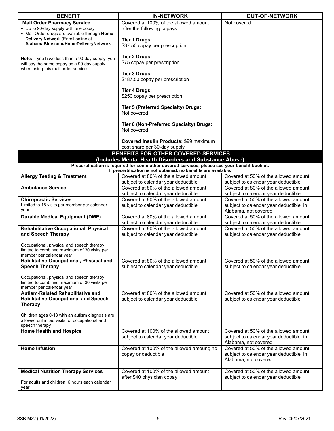| <b>BENEFIT</b>                                                                    | <b>IN-NETWORK</b>                                                                              | <b>OUT-OF-NETWORK</b>                   |
|-----------------------------------------------------------------------------------|------------------------------------------------------------------------------------------------|-----------------------------------------|
| <b>Mail Order Pharmacy Service</b>                                                | Covered at 100% of the allowed amount                                                          | Not covered                             |
| • Up to 90-day supply with one copay                                              | after the following copays:                                                                    |                                         |
| • Mail Order drugs are available through Home                                     |                                                                                                |                                         |
| Delivery Network (Enroll online at                                                | <b>Tier 1 Drugs:</b>                                                                           |                                         |
| AlabamaBlue.com/HomeDeliveryNetwork                                               | \$37.50 copay per prescription                                                                 |                                         |
|                                                                                   |                                                                                                |                                         |
|                                                                                   | <b>Tier 2 Drugs:</b>                                                                           |                                         |
| Note: If you have less than a 90-day supply, you                                  | \$75 copay per prescription                                                                    |                                         |
| will pay the same copay as a 90-day supply<br>when using this mail order service. |                                                                                                |                                         |
|                                                                                   | <b>Tier 3 Drugs:</b>                                                                           |                                         |
|                                                                                   | \$187.50 copay per prescription                                                                |                                         |
|                                                                                   |                                                                                                |                                         |
|                                                                                   | <b>Tier 4 Drugs:</b>                                                                           |                                         |
|                                                                                   | \$250 copay per prescription                                                                   |                                         |
|                                                                                   |                                                                                                |                                         |
|                                                                                   | <b>Tier 5 (Preferred Specialty) Drugs:</b>                                                     |                                         |
|                                                                                   | Not covered                                                                                    |                                         |
|                                                                                   |                                                                                                |                                         |
|                                                                                   | Tier 6 (Non-Preferred Specialty) Drugs:                                                        |                                         |
|                                                                                   | Not covered                                                                                    |                                         |
|                                                                                   |                                                                                                |                                         |
|                                                                                   | Covered Insulin Products: \$99 maximum                                                         |                                         |
|                                                                                   | cost share per 30-day supply                                                                   |                                         |
|                                                                                   | BENEFITS FOR OTHER COVERED SERVICES                                                            |                                         |
|                                                                                   | (Includes Mental Health Disorders and Substance Abuse)                                         |                                         |
|                                                                                   | Precertification is required for some other covered services; please see your benefit booklet. |                                         |
|                                                                                   | If precertification is not obtained, no benefits are available.                                |                                         |
| <b>Allergy Testing &amp; Treatment</b>                                            | Covered at 80% of the allowed amount                                                           | Covered at 50% of the allowed amount    |
|                                                                                   | subject to calendar year deductible                                                            | subject to calendar year deductible     |
| <b>Ambulance Service</b>                                                          | Covered at 80% of the allowed amount                                                           | Covered at 80% of the allowed amount    |
|                                                                                   | subject to calendar year deductible                                                            | subject to calendar year deductible     |
| <b>Chiropractic Services</b>                                                      | Covered at 80% of the allowed amount                                                           | Covered at 50% of the allowed amount    |
| Limited to 15 visits per member per calendar                                      | subject to calendar year deductible                                                            | subject to calendar year deductible; in |
| year                                                                              |                                                                                                | Alabama, not covered                    |
| <b>Durable Medical Equipment (DME)</b>                                            | Covered at 80% of the allowed amount                                                           | Covered at 50% of the allowed amount    |
|                                                                                   | subject to calendar year deductible                                                            | subject to calendar year deductible     |
| Rehabilitative Occupational, Physical                                             | Covered at 80% of the allowed amount                                                           | Covered at 50% of the allowed amount    |
| and Speech Therapy                                                                | subject to calendar year deductible                                                            | subject to calendar year deductible     |
|                                                                                   |                                                                                                |                                         |
| Occupational, physical and speech therapy                                         |                                                                                                |                                         |
| limited to combined maximum of 30 visits per                                      |                                                                                                |                                         |
| member per calendar year                                                          |                                                                                                |                                         |
| <b>Habilitative Occupational, Physical and</b>                                    | Covered at 80% of the allowed amount                                                           | Covered at 50% of the allowed amount    |
| <b>Speech Therapy</b>                                                             | subject to calendar year deductible                                                            | subject to calendar year deductible     |
|                                                                                   |                                                                                                |                                         |
| Occupational, physical and speech therapy                                         |                                                                                                |                                         |
| limited to combined maximum of 30 visits per<br>member per calendar year          |                                                                                                |                                         |
| Autism-Related Rehabilitative and                                                 | Covered at 80% of the allowed amount                                                           | Covered at 50% of the allowed amount    |
| <b>Habilitative Occupational and Speech</b>                                       | subject to calendar year deductible                                                            | subject to calendar year deductible     |
| <b>Therapy</b>                                                                    |                                                                                                |                                         |
|                                                                                   |                                                                                                |                                         |
| Children ages 0-18 with an autism diagnosis are                                   |                                                                                                |                                         |
| allowed unlimited visits for occupational and                                     |                                                                                                |                                         |
| speech therapy                                                                    |                                                                                                |                                         |
| <b>Home Health and Hospice</b>                                                    | Covered at 100% of the allowed amount                                                          | Covered at 50% of the allowed amount    |
|                                                                                   | subject to calendar year deductible                                                            | subject to calendar year deductible; in |
|                                                                                   |                                                                                                | Alabama, not covered                    |
| <b>Home Infusion</b>                                                              | Covered at 100% of the allowed amount; no                                                      | Covered at 50% of the allowed amount    |
|                                                                                   | copay or deductible                                                                            | subject to calendar year deductible; in |
|                                                                                   |                                                                                                | Alabama, not covered                    |
|                                                                                   |                                                                                                |                                         |
| <b>Medical Nutrition Therapy Services</b>                                         | Covered at 100% of the allowed amount                                                          | Covered at 50% of the allowed amount    |
|                                                                                   | after \$40 physician copay                                                                     | subject to calendar year deductible     |
| For adults and children, 6 hours each calendar<br>year                            |                                                                                                |                                         |
|                                                                                   |                                                                                                |                                         |